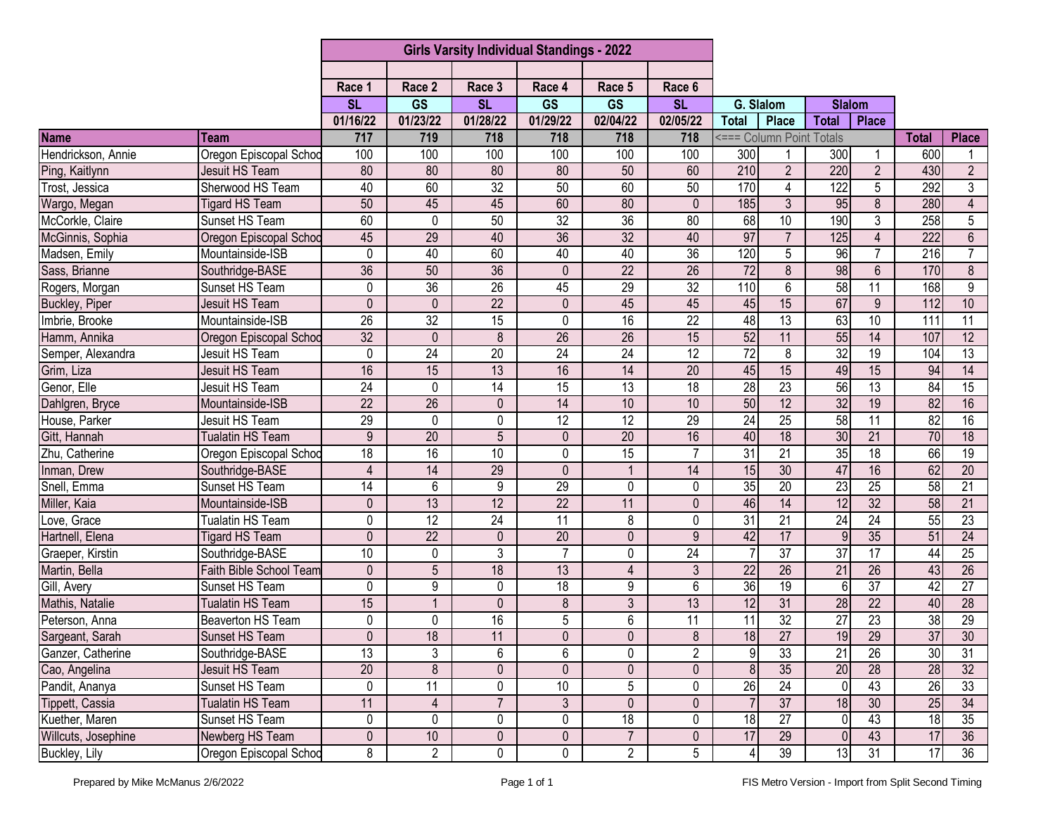|                     |                         | <b>Girls Varsity Individual Standings - 2022</b> |                 |                 |                 |                        |                 |                 |                          |                  |                 |                  |                 |
|---------------------|-------------------------|--------------------------------------------------|-----------------|-----------------|-----------------|------------------------|-----------------|-----------------|--------------------------|------------------|-----------------|------------------|-----------------|
|                     |                         |                                                  |                 |                 |                 |                        |                 |                 |                          |                  |                 |                  |                 |
|                     |                         | Race 1                                           | Race 2          | Race 3          | Race 4          | Race 5                 | Race 6          |                 |                          |                  |                 |                  |                 |
|                     |                         | <b>SL</b>                                        | <b>GS</b>       | <b>SL</b>       | <b>GS</b>       | $\overline{\text{GS}}$ | <b>SL</b>       | G. Slalom       |                          | <b>Slalom</b>    |                 |                  |                 |
|                     |                         | 01/16/22                                         | 01/23/22        | 01/28/22        | 01/29/22        | 02/04/22               | 02/05/22        | <b>Total</b>    | <b>Place</b>             | <b>Total</b>     | Place           |                  |                 |
| <b>Name</b>         | Team                    | 717                                              | 719             | 718             | 718             | 718                    | 718             |                 | <=== Column Point Totals |                  |                 | <b>Total</b>     | <b>Place</b>    |
| Hendrickson, Annie  | Oregon Episcopal Schod  | 100                                              | 100             | 100             | 100             | 100                    | 100             | 300             |                          | 300              |                 | 600              |                 |
| Ping, Kaitlynn      | <b>Jesuit HS Team</b>   | 80                                               | 80              | 80              | 80              | 50                     | 60              | 210             | $\overline{2}$           | 220              | $\overline{2}$  | 430              | $\overline{2}$  |
| Trost, Jessica      | Sherwood HS Team        | 40                                               | 60              | 32              | 50              | 60                     | 50              | 170             | 4                        | $\overline{122}$ | 5               | 292              | 3               |
| Wargo, Megan        | <b>Tigard HS Team</b>   | 50                                               | 45              | 45              | 60              | 80                     | $\mathbf{0}$    | 185             | 3                        | 95               | 8               | 280              | $\overline{4}$  |
| McCorkle, Claire    | Sunset HS Team          | 60                                               | $\overline{0}$  | 50              | 32              | $\overline{36}$        | 80              | 68              | 10                       | 190              | $\overline{3}$  | 258              | $\overline{5}$  |
| McGinnis, Sophia    | Oregon Episcopal Schod  | 45                                               | $\overline{29}$ | 40              | $\overline{36}$ | $\overline{32}$        | 40              | 97              | $\overline{7}$           | 125              | $\overline{4}$  | 222              | $6\phantom{1}$  |
| Madsen, Emily       | Mountainside-ISB        | 0                                                | 40              | 60              | 40              | 40                     | $\overline{36}$ | 120             | 5                        | $\overline{96}$  | $\overline{7}$  | 216              | $\overline{7}$  |
| Sass, Brianne       | Southridge-BASE         | 36                                               | 50              | $\overline{36}$ | $\mathbf{0}$    | $\overline{22}$        | 26              | $\overline{72}$ | $\overline{8}$           | 98               | $\overline{6}$  | 170              | $\overline{8}$  |
| Rogers, Morgan      | Sunset HS Team          | 0                                                | $\overline{36}$ | $\overline{26}$ | 45              | 29                     | 32              | 110             | 6                        | $\overline{58}$  | 11              | 168              | 9               |
| Buckley, Piper      | Jesuit HS Team          | 0                                                | $\mathbf 0$     | 22              | $\mathbf 0$     | 45                     | 45              | 45              | 15                       | 67               | 9               | 112              | 10              |
| Imbrie, Brooke      | Mountainside-ISB        | 26                                               | 32              | 15              | $\mathbf 0$     | 16                     | $\overline{22}$ | 48              | 13                       | 63               | 10              | $\overline{111}$ | 11              |
| Hamm, Annika        | Oregon Episcopal Schoo  | 32                                               | $\pmb{0}$       | 8               | $\overline{26}$ | 26                     | 15              | 52              | 11                       | 55               | $\overline{14}$ | 107              | $\overline{12}$ |
| Semper, Alexandra   | Jesuit HS Team          | 0                                                | $\overline{24}$ | 20              | $\overline{24}$ | $\overline{24}$        | 12              | 72              | 8                        | 32               | $\overline{19}$ | 104              | 13              |
| Grim, Liza          | <b>Jesuit HS Team</b>   | 16                                               | 15              | 13              | 16              | 14                     | $\overline{20}$ | 45              | 15                       | 49               | 15              | 94               | 14              |
| Genor, Elle         | Jesuit HS Team          | $\overline{24}$                                  | $\mathbf 0$     | 14              | 15              | 13                     | 18              | 28              | $\overline{23}$          | $\overline{56}$  | 13              | 84               | $\overline{15}$ |
| Dahlgren, Bryce     | Mountainside-ISB        | $\overline{22}$                                  | $\overline{26}$ | $\mathbf 0$     | 14              | 10                     | 10              | 50              | $\overline{12}$          | $\overline{32}$  | 19              | 82               | 16              |
| House, Parker       | Jesuit HS Team          | 29                                               | $\pmb{0}$       | 0               | 12              | 12                     | 29              | 24              | 25                       | 58               | 11              | 82               | 16              |
| Gitt, Hannah        | <b>Tualatin HS Team</b> | 9                                                | $\overline{20}$ | 5               | $\mathbf 0$     | $\overline{20}$        | 16              | 40              | $\overline{18}$          | 30               | $\overline{21}$ | 70               | 18              |
| Zhu, Catherine      | Oregon Episcopal Schoo  | $\overline{18}$                                  | 16              | 10              | 0               | $\overline{15}$        | $\overline{7}$  | 31              | $\overline{21}$          | 35               | $\overline{18}$ | 66               | $\overline{19}$ |
| Inman, Drew         | Southridge-BASE         | $\overline{4}$                                   | 14              | 29              | $\mathbf{0}$    | $\overline{1}$         | $\overline{14}$ | 15              | 30                       | 47               | 16              | 62               | $\overline{20}$ |
| Snell, Emma         | Sunset HS Team          | 14                                               | $6\phantom{1}$  | 9               | $\overline{29}$ | 0                      | 0               | 35              | 20                       | 23               | $\overline{25}$ | 58               | $\overline{21}$ |
| Miller, Kaia        | Mountainside-ISB        | $\mathbf 0$                                      | 13              | 12              | $\overline{22}$ | 11                     | $\mathbf 0$     | 46              | $\overline{14}$          | 12               | 32              | 58               | $\overline{21}$ |
| Love, Grace         | Tualatin HS Team        | 0                                                | 12              | 24              | $\overline{11}$ | 8                      | 0               | $\overline{31}$ | 21                       | 24               | $\overline{24}$ | $\overline{55}$  | 23              |
| Hartnell, Elena     | <b>Tigard HS Team</b>   | $\mathbf 0$                                      | $\overline{22}$ | $\pmb{0}$       | $\overline{20}$ | $\mathbf 0$            | 9               | 42              | 17                       | $\overline{9}$   | $\overline{35}$ | 51               | $\overline{24}$ |
| Graeper, Kirstin    | Southridge-BASE         | 10                                               | $\pmb{0}$       | 3               | $\overline{7}$  | 0                      | $\overline{24}$ |                 | $\overline{37}$          | 37               | $\overline{17}$ | 44               | $\overline{25}$ |
| Martin, Bella       | Faith Bible School Team | $\mathbf 0$                                      | 5               | 18              | 13              | $\overline{4}$         | 3               | 22              | 26                       | 21               | 26              | 43               | 26              |
| Gill, Avery         | Sunset HS Team          | 0                                                | 9               | 0               | $\overline{18}$ | 9                      | 6               | 36              | 19                       | $6\phantom{1}6$  | $\overline{37}$ | 42               | $\overline{27}$ |
| Mathis, Natalie     | Tualatin HS Team        | 15                                               |                 | $\mathbf 0$     | 8               | 3                      | 13              | $\overline{12}$ | 31                       | $\overline{28}$  | $\overline{22}$ | 40               | $\overline{28}$ |
| Peterson, Anna      | Beaverton HS Team       | 0                                                | 0               | 16              | 5               | 6                      | 11              | 11              | $\overline{32}$          | $\overline{27}$  | $\overline{23}$ | 38               | 29              |
| Sargeant, Sarah     | Sunset HS Team          | $\overline{0}$                                   | 18              | 11              | $\overline{0}$  | $\pmb{0}$              | $\infty$        | 18              | 27                       | 19               | $\overline{29}$ | 37               | 30              |
| Ganzer, Catherine   | Southridge-BASE         | $\overline{13}$                                  | 3               | 6               | 6               | 0                      | $\overline{2}$  | $\overline{9}$  | 33                       | 21               | $\overline{26}$ | 30 <sup>°</sup>  | 31              |
| Cao, Angelina       | Jesuit HS Team          | 20                                               | $\overline{8}$  | $\pmb{0}$       | $\mathbf{0}$    | 0                      | 0               | 8               | 35                       | 20               | 28              | 28               | 32              |
| Pandit, Ananya      | Sunset HS Team          | 0                                                | $\overline{11}$ | 0               | 10              | 5                      | 0               | 26              | $\overline{24}$          | $\overline{0}$   | 43              | 26               | 33              |
| Tippett, Cassia     | Tualatin HS Team        | 11                                               | $\overline{4}$  | $\overline{7}$  | $\mathfrak{Z}$  | $\mathbf 0$            | 0               | $\overline{7}$  | $\overline{37}$          | 18               | 30 <sup>°</sup> | 25               | $\overline{34}$ |
| Kuether, Maren      | Sunset HS Team          | 0                                                | 0               | 0               | 0               | 18                     | 0               | 18              | 27                       | 0                | 43              | 18               | 35              |
| Willcuts, Josephine | Newberg HS Team         | $\overline{0}$                                   | 10              | $\pmb{0}$       | $\pmb{0}$       | $\overline{7}$         | $\mathbf 0$     | 17              | $\overline{29}$          | $\overline{0}$   | 43              | 17               | 36              |
| Buckley, Lily       | Oregon Episcopal Schoo  | 8                                                | $\overline{2}$  | 0               | 0               | $\overline{2}$         | 5 <sup>5</sup>  | $\vert$         | 39                       | 13               | 31              | $\overline{17}$  | 36              |